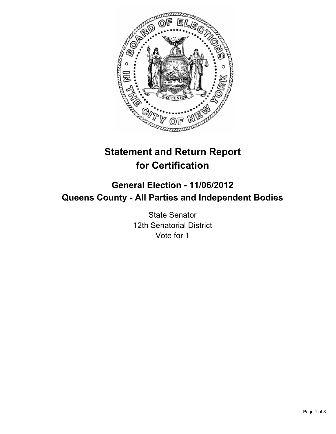

# **Statement and Return Report for Certification**

## **General Election - 11/06/2012 Queens County - All Parties and Independent Bodies**

State Senator 12th Senatorial District Vote for 1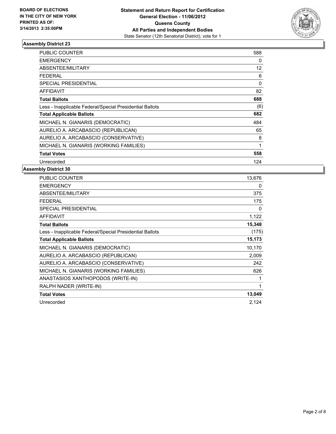

| <b>PUBLIC COUNTER</b>                                    | 588         |
|----------------------------------------------------------|-------------|
| <b>EMERGENCY</b>                                         | 0           |
| ABSENTEE/MILITARY                                        | 12          |
| FEDERAL                                                  | 6           |
| SPECIAL PRESIDENTIAL                                     | $\mathbf 0$ |
| AFFIDAVIT                                                | 82          |
| <b>Total Ballots</b>                                     | 688         |
| Less - Inapplicable Federal/Special Presidential Ballots | (6)         |
| <b>Total Applicable Ballots</b>                          | 682         |
| MICHAEL N. GIANARIS (DEMOCRATIC)                         | 484         |
| AURELIO A. ARCABASCIO (REPUBLICAN)                       | 65          |
| AURELIO A. ARCABASCIO (CONSERVATIVE)                     | 8           |
| MICHAEL N. GIANARIS (WORKING FAMILIES)                   | 1           |
| <b>Total Votes</b>                                       | 558         |
| Unrecorded                                               | 124         |

| PUBLIC COUNTER                                           | 13,676 |
|----------------------------------------------------------|--------|
| <b>EMERGENCY</b>                                         | 0      |
| <b>ABSENTEE/MILITARY</b>                                 | 375    |
| FEDERAL                                                  | 175    |
| <b>SPECIAL PRESIDENTIAL</b>                              | 0      |
| <b>AFFIDAVIT</b>                                         | 1,122  |
| <b>Total Ballots</b>                                     | 15,348 |
| Less - Inapplicable Federal/Special Presidential Ballots | (175)  |
| <b>Total Applicable Ballots</b>                          | 15,173 |
| MICHAEL N. GIANARIS (DEMOCRATIC)                         | 10,170 |
| AURELIO A. ARCABASCIO (REPUBLICAN)                       | 2,009  |
| AURELIO A. ARCABASCIO (CONSERVATIVE)                     | 242    |
| MICHAEL N. GIANARIS (WORKING FAMILIES)                   | 626    |
| ANASTASIOS XANTHOPODOS (WRITE-IN)                        |        |
| RALPH NADER (WRITE-IN)                                   | 1      |
| <b>Total Votes</b>                                       | 13,049 |
| Unrecorded                                               | 2,124  |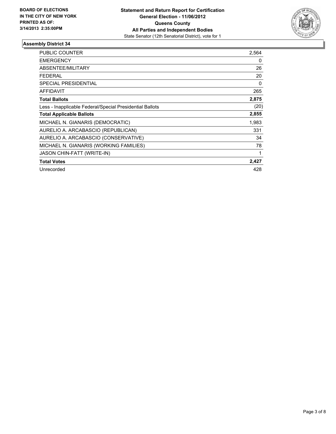

| <b>PUBLIC COUNTER</b>                                    | 2,564 |
|----------------------------------------------------------|-------|
| <b>EMERGENCY</b>                                         | 0     |
| <b>ABSENTEE/MILITARY</b>                                 | 26    |
| <b>FEDERAL</b>                                           | 20    |
| <b>SPECIAL PRESIDENTIAL</b>                              | 0     |
| <b>AFFIDAVIT</b>                                         | 265   |
| <b>Total Ballots</b>                                     | 2,875 |
| Less - Inapplicable Federal/Special Presidential Ballots | (20)  |
| <b>Total Applicable Ballots</b>                          | 2,855 |
| MICHAEL N. GIANARIS (DEMOCRATIC)                         | 1,983 |
| AURELIO A. ARCABASCIO (REPUBLICAN)                       | 331   |
| AURELIO A. ARCABASCIO (CONSERVATIVE)                     | 34    |
| MICHAEL N. GIANARIS (WORKING FAMILIES)                   | 78    |
| <b>JASON CHIN-FATT (WRITE-IN)</b>                        | 1     |
| <b>Total Votes</b>                                       | 2,427 |
| Unrecorded                                               | 428   |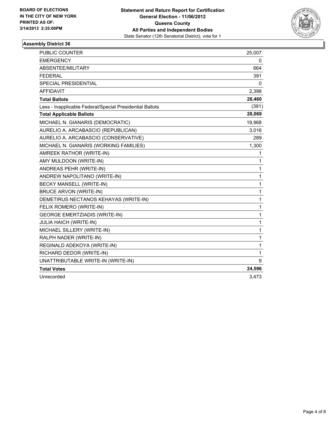

| <b>PUBLIC COUNTER</b>                                    | 25,007 |
|----------------------------------------------------------|--------|
| <b>EMERGENCY</b>                                         | 0      |
| ABSENTEE/MILITARY                                        | 664    |
| <b>FEDERAL</b>                                           | 391    |
| <b>SPECIAL PRESIDENTIAL</b>                              | 0      |
| <b>AFFIDAVIT</b>                                         | 2,398  |
| <b>Total Ballots</b>                                     | 28,460 |
| Less - Inapplicable Federal/Special Presidential Ballots | (391)  |
| <b>Total Applicable Ballots</b>                          | 28,069 |
| MICHAEL N. GIANARIS (DEMOCRATIC)                         | 19,968 |
| AURELIO A. ARCABASCIO (REPUBLICAN)                       | 3,016  |
| AURELIO A. ARCABASCIO (CONSERVATIVE)                     | 289    |
| MICHAEL N. GIANARIS (WORKING FAMILIES)                   | 1,300  |
| AMREEK RATHOR (WRITE-IN)                                 | 1      |
| AMY MULDOON (WRITE-IN)                                   | 1      |
| ANDREAS PEHR (WRITE-IN)                                  | 1      |
| ANDREW NAPOLITANO (WRITE-IN)                             | 1      |
| BECKY MANSELL (WRITE-IN)                                 | 1      |
| <b>BRUCE ARVON (WRITE-IN)</b>                            | 1      |
| DEMETIRUS NECTANOS KEHAYAS (WRITE-IN)                    | 1      |
| FELIX ROMERO (WRITE-IN)                                  | 1      |
| <b>GEORGE EMERTZIADIS (WRITE-IN)</b>                     | 1      |
| <b>JULIA HAICH (WRITE-IN)</b>                            | 1      |
| MICHAEL SILLERY (WRITE-IN)                               | 1      |
| RALPH NADER (WRITE-IN)                                   | 1      |
| REGINALD ADEKOYA (WRITE-IN)                              | 1      |
| RICHARD DEDOR (WRITE-IN)                                 | 1      |
| UNATTRIBUTABLE WRITE-IN (WRITE-IN)                       | 9      |
| <b>Total Votes</b>                                       | 24,596 |
| Unrecorded                                               | 3,473  |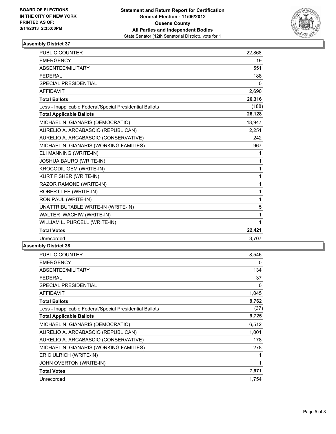

| PUBLIC COUNTER                                           | 22,868   |
|----------------------------------------------------------|----------|
| <b>EMERGENCY</b>                                         | 19       |
| ABSENTEE/MILITARY                                        | 551      |
| <b>FFDFRAL</b>                                           | 188      |
| <b>SPECIAL PRESIDENTIAL</b>                              | $\Omega$ |
| <b>AFFIDAVIT</b>                                         | 2,690    |
| <b>Total Ballots</b>                                     | 26,316   |
| Less - Inapplicable Federal/Special Presidential Ballots | (188)    |
| <b>Total Applicable Ballots</b>                          | 26,128   |
| MICHAEL N. GIANARIS (DEMOCRATIC)                         | 18,947   |
| AURELIO A. ARCABASCIO (REPUBLICAN)                       | 2,251    |
| AURELIO A. ARCABASCIO (CONSERVATIVE)                     | 242      |
| MICHAEL N. GIANARIS (WORKING FAMILIES)                   | 967      |
| ELI MANNING (WRITE-IN)                                   | 1        |
| <b>JOSHUA BAURO (WRITE-IN)</b>                           | 1        |
| KROCODIL GEM (WRITE-IN)                                  | 1        |
| KURT FISHER (WRITE-IN)                                   | 1        |
| RAZOR RAMONE (WRITE-IN)                                  | 1        |
| ROBERT LEE (WRITE-IN)                                    | 1        |
| RON PAUL (WRITE-IN)                                      | 1        |
| UNATTRIBUTABLE WRITE-IN (WRITE-IN)                       | 5        |
| WALTER IWACHIW (WRITE-IN)                                | 1        |
| WILLIAM L. PURCELL (WRITE-IN)                            | 1        |
| <b>Total Votes</b>                                       | 22,421   |
| Unrecorded                                               | 3,707    |
|                                                          |          |

| PUBLIC COUNTER                                           | 8,546 |
|----------------------------------------------------------|-------|
| <b>EMERGENCY</b>                                         | 0     |
| ABSENTEE/MILITARY                                        | 134   |
| <b>FEDERAL</b>                                           | 37    |
| SPECIAL PRESIDENTIAL                                     | 0     |
| <b>AFFIDAVIT</b>                                         | 1,045 |
| <b>Total Ballots</b>                                     | 9,762 |
| Less - Inapplicable Federal/Special Presidential Ballots | (37)  |
| <b>Total Applicable Ballots</b>                          | 9,725 |
| MICHAEL N. GIANARIS (DEMOCRATIC)                         | 6,512 |
| AURELIO A. ARCABASCIO (REPUBLICAN)                       | 1,001 |
| AURELIO A. ARCABASCIO (CONSERVATIVE)                     | 178   |
| MICHAEL N. GIANARIS (WORKING FAMILIES)                   | 278   |
| ERIC ULRICH (WRITE-IN)                                   | 1     |
| JOHN OVERTON (WRITE-IN)                                  | 1     |
| <b>Total Votes</b>                                       | 7,971 |
| Unrecorded                                               | 1,754 |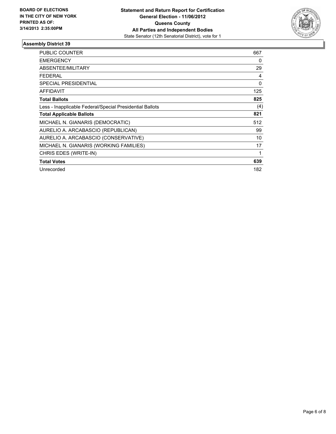

| <b>PUBLIC COUNTER</b>                                    | 667 |
|----------------------------------------------------------|-----|
| <b>EMERGENCY</b>                                         | 0   |
| ABSENTEE/MILITARY                                        | 29  |
| <b>FEDERAL</b>                                           | 4   |
| SPECIAL PRESIDENTIAL                                     | 0   |
| AFFIDAVIT                                                | 125 |
| <b>Total Ballots</b>                                     | 825 |
| Less - Inapplicable Federal/Special Presidential Ballots | (4) |
| <b>Total Applicable Ballots</b>                          | 821 |
| MICHAEL N. GIANARIS (DEMOCRATIC)                         | 512 |
| AURELIO A. ARCABASCIO (REPUBLICAN)                       | 99  |
| AURELIO A. ARCABASCIO (CONSERVATIVE)                     | 10  |
| MICHAEL N. GIANARIS (WORKING FAMILIES)                   | 17  |
| CHRIS EDES (WRITE-IN)                                    | 1   |
| <b>Total Votes</b>                                       | 639 |
| Unrecorded                                               | 182 |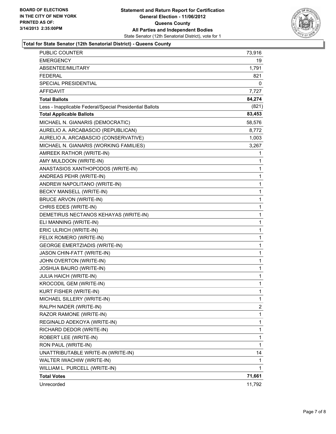

#### **Total for State Senator (12th Senatorial District) - Queens County**

| PUBLIC COUNTER                                           | 73,916       |
|----------------------------------------------------------|--------------|
| EMERGENCY                                                | 19           |
| ABSENTEE/MILITARY                                        | 1,791        |
| <b>FEDERAL</b>                                           | 821          |
| SPECIAL PRESIDENTIAL                                     | 0            |
| <b>AFFIDAVIT</b>                                         | 7,727        |
| <b>Total Ballots</b>                                     | 84,274       |
| Less - Inapplicable Federal/Special Presidential Ballots | (821)        |
| <b>Total Applicable Ballots</b>                          | 83,453       |
| MICHAEL N. GIANARIS (DEMOCRATIC)                         | 58,576       |
| AURELIO A. ARCABASCIO (REPUBLICAN)                       | 8,772        |
| AURELIO A. ARCABASCIO (CONSERVATIVE)                     | 1,003        |
| MICHAEL N. GIANARIS (WORKING FAMILIES)                   | 3,267        |
| AMREEK RATHOR (WRITE-IN)                                 | 1            |
| AMY MULDOON (WRITE-IN)                                   | 1            |
| ANASTASIOS XANTHOPODOS (WRITE-IN)                        | 1            |
| ANDREAS PEHR (WRITE-IN)                                  | 1            |
| ANDREW NAPOLITANO (WRITE-IN)                             | 1            |
| BECKY MANSELL (WRITE-IN)                                 | 1            |
| <b>BRUCE ARVON (WRITE-IN)</b>                            | 1            |
| CHRIS EDES (WRITE-IN)                                    | 1            |
| DEMETIRUS NECTANOS KEHAYAS (WRITE-IN)                    | 1            |
| ELI MANNING (WRITE-IN)                                   | 1            |
| ERIC ULRICH (WRITE-IN)                                   | 1            |
| FELIX ROMERO (WRITE-IN)                                  | 1            |
| <b>GEORGE EMERTZIADIS (WRITE-IN)</b>                     | 1            |
| JASON CHIN-FATT (WRITE-IN)                               | 1            |
| JOHN OVERTON (WRITE-IN)                                  | 1            |
| JOSHUA BAURO (WRITE-IN)                                  | 1            |
| <b>JULIA HAICH (WRITE-IN)</b>                            | 1            |
| KROCODIL GEM (WRITE-IN)                                  | 1            |
| KURT FISHER (WRITE-IN)                                   | 1            |
| MICHAEL SILLERY (WRITE-IN)                               | $\mathbf{1}$ |
| RALPH NADER (WRITE-IN)                                   | 2            |
| RAZOR RAMONE (WRITE-IN)                                  | 1            |
| REGINALD ADEKOYA (WRITE-IN)                              | 1            |
| RICHARD DEDOR (WRITE-IN)                                 | 1            |
| ROBERT LEE (WRITE-IN)                                    | 1            |
| RON PAUL (WRITE-IN)                                      | 1            |
| UNATTRIBUTABLE WRITE-IN (WRITE-IN)                       | 14           |
| WALTER IWACHIW (WRITE-IN)                                | 1            |
| WILLIAM L. PURCELL (WRITE-IN)                            | 1            |
| <b>Total Votes</b>                                       | 71,661       |
| Unrecorded                                               | 11,792       |